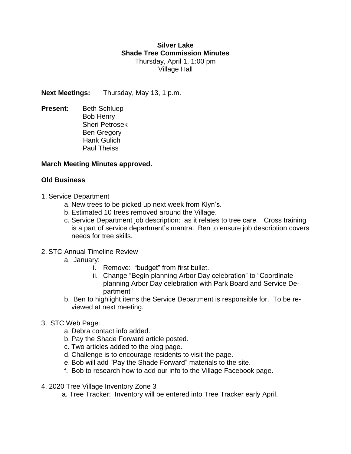## **Silver Lake Shade Tree Commission Minutes** Thursday, April 1, 1:00 pm Village Hall

**Next Meetings:** Thursday, May 13, 1 p.m.

**Present:** Beth Schluep Bob Henry Sheri Petrosek Ben Gregory Hank Gulich Paul Theiss

## **March Meeting Minutes approved.**

## **Old Business**

- 1. Service Department
	- a. New trees to be picked up next week from Klyn's.
	- b. Estimated 10 trees removed around the Village.
	- c. Service Department job description: as it relates to tree care. Cross training is a part of service department's mantra. Ben to ensure job description covers needs for tree skills.
- 2. STC Annual Timeline Review
	- a. January:
		- i. Remove: "budget" from first bullet.
		- ii. Change "Begin planning Arbor Day celebration" to "Coordinate planning Arbor Day celebration with Park Board and Service Department"
	- b. Ben to highlight items the Service Department is responsible for. To be reviewed at next meeting.
- 3. STC Web Page:
	- a. Debra contact info added.
	- b. Pay the Shade Forward article posted.
	- c. Two articles added to the blog page.
	- d. Challenge is to encourage residents to visit the page.
	- e. Bob will add "Pay the Shade Forward" materials to the site.
	- f. Bob to research how to add our info to the Village Facebook page.
- 4. 2020 Tree Village Inventory Zone 3
	- a. Tree Tracker: Inventory will be entered into Tree Tracker early April.